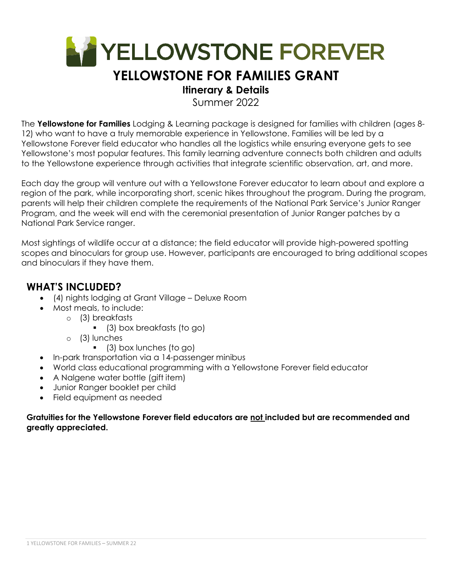

# **YELLOWSTONE FOR FAMILIES GRANT**

### **Itinerary & Details**

Summer 2022

The **Yellowstone for Families** Lodging & Learning package is designed for families with children (ages 8- 12) who want to have a truly memorable experience in Yellowstone. Families will be led by a Yellowstone Forever field educator who handles all the logistics while ensuring everyone gets to see Yellowstone's most popular features. This family learning adventure connects both children and adults to the Yellowstone experience through activities that integrate scientific observation, art, and more.

Each day the group will venture out with a Yellowstone Forever educator to learn about and explore a region of the park, while incorporating short, scenic hikes throughout the program. During the program, parents will help their children complete the requirements of the National Park Service's Junior Ranger Program, and the week will end with the ceremonial presentation of Junior Ranger patches by a National Park Service ranger.

Most sightings of wildlife occur at a distance; the field educator will provide high-powered spotting scopes and binoculars for group use. However, participants are encouraged to bring additional scopes and binoculars if they have them.

### **WHAT'S INCLUDED?**

- (4) nights lodging at Grant Village Deluxe Room
- Most meals, to include:
	- o (3) breakfasts
		- (3) box breakfasts (to go)
	- o (3) lunches
		- (3) box lunches (to go)
- In-park transportation via a 14-passenger minibus
- World class educational programming with a Yellowstone Forever field educator
- A Nalgene water bottle (gift item)
- Junior Ranger booklet per child
- Field equipment as needed

### **Gratuities for the Yellowstone Forever field educators are not included but are recommended and greatly appreciated.**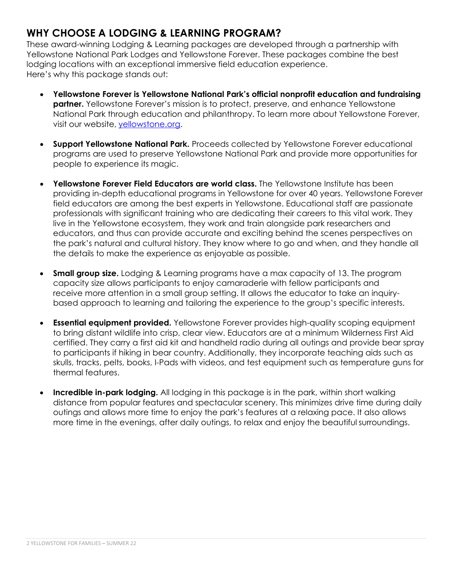### **WHY CHOOSE A LODGING & LEARNING PROGRAM?**

These award-winning Lodging & Learning packages are developed through a partnership with Yellowstone National Park Lodges and Yellowstone Forever. These packages combine the best lodging locations with an exceptional immersive field education experience. Here's why this package stands out:

- **Yellowstone Forever is Yellowstone National Park's official nonprofit education and fundraising partner.** Yellowstone Forever's mission is to protect, preserve, and enhance Yellowstone National Park through education and philanthropy. To learn more about Yellowstone Forever, visit our website, yellowstone.org.
- **Support Yellowstone National Park.** Proceeds collected by Yellowstone Forever educational programs are used to preserve Yellowstone National Park and provide more opportunities for people to experience its magic.
- **Yellowstone Forever Field Educators are world class.** The Yellowstone Institute has been providing in-depth educational programs in Yellowstone for over 40 years. Yellowstone Forever field educators are among the best experts in Yellowstone. Educational staff are passionate professionals with significant training who are dedicating their careers to this vital work. They live in the Yellowstone ecosystem, they work and train alongside park researchers and educators, and thus can provide accurate and exciting behind the scenes perspectives on the park's natural and cultural history. They know where to go and when, and they handle all the details to make the experience as enjoyable as possible.
- **Small group size.** Lodging & Learning programs have a max capacity of 13. The program capacity size allows participants to enjoy camaraderie with fellow participants and receive more attention in a small group setting. It allows the educator to take an inquirybased approach to learning and tailoring the experience to the group's specific interests.
- **Essential equipment provided.** Yellowstone Forever provides high-quality scoping equipment to bring distant wildlife into crisp, clear view. Educators are at a minimum Wilderness First Aid certified. They carry a first aid kit and handheld radio during all outings and provide bear spray to participants if hiking in bear country. Additionally, they incorporate teaching aids such as skulls, tracks, pelts, books, I-Pads with videos, and test equipment such as temperature guns for thermal features.
- **Incredible in-park lodging.** All lodging in this package is in the park, within short walking distance from popular features and spectacular scenery. This minimizes drive time during daily outings and allows more time to enjoy the park's features at a relaxing pace. It also allows more time in the evenings, after daily outings, to relax and enjoy the beautiful surroundings.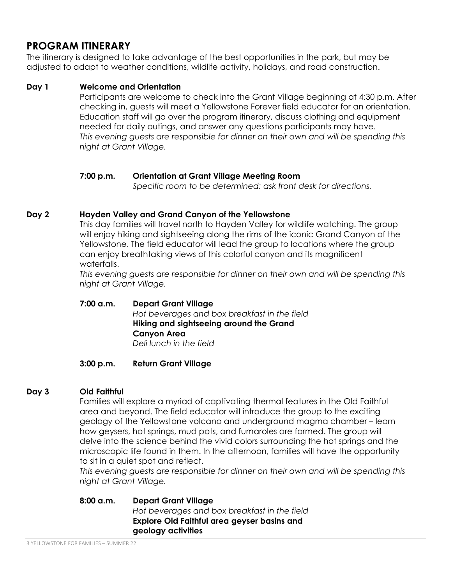### **PROGRAM ITINERARY**

The itinerary is designed to take advantage of the best opportunities in the park, but may be adjusted to adapt to weather conditions, wildlife activity, holidays, and road construction.

### **Day 1 Welcome and Orientation**

Participants are welcome to check into the Grant Village beginning at 4:30 p.m. After checking in, guests will meet a Yellowstone Forever field educator for an orientation. Education staff will go over the program itinerary, discuss clothing and equipment needed for daily outings, and answer any questions participants may have. *This evening guests are responsible for dinner on their own and will be spending this night at Grant Village.* 

### **7:00 p.m. Orientation at Grant Village Meeting Room**

*Specific room to be determined; ask front desk for directions.* 

### **Day 2 Hayden Valley and Grand Canyon of the Yellowstone**

This day families will travel north to Hayden Valley for wildlife watching. The group will enjoy hiking and sightseeing along the rims of the iconic Grand Canyon of the Yellowstone. The field educator will lead the group to locations where the group can enjoy breathtaking views of this colorful canyon and its magnificent waterfalls.

*This evening guests are responsible for dinner on their own and will be spending this night at Grant Village.* 

### **7:00 a.m. Depart Grant Village**  *Hot beverages and box breakfast in the field*  **Hiking and sightseeing around the Grand Canyon Area**  *Deli lunch in the field*

### **3:00 p.m. Return Grant Village**

### **Day 3 Old Faithful**

Families will explore a myriad of captivating thermal features in the Old Faithful area and beyond. The field educator will introduce the group to the exciting geology of the Yellowstone volcano and underground magma chamber – learn how geysers, hot springs, mud pots, and fumaroles are formed. The group will delve into the science behind the vivid colors surrounding the hot springs and the microscopic life found in them. In the afternoon, families will have the opportunity to sit in a quiet spot and reflect.

*This evening guests are responsible for dinner on their own and will be spending this night at Grant Village.* 

**8:00 a.m. Depart Grant Village**  *Hot beverages and box breakfast in the field*  **Explore Old Faithful area geyser basins and geology activities**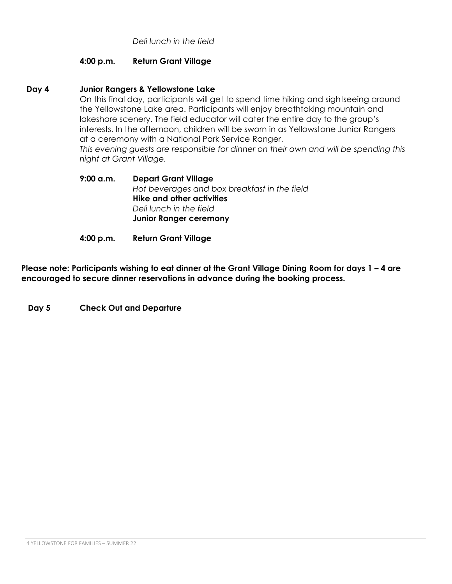*Deli lunch in the field* 

### **4:00 p.m. Return Grant Village**

### **Day 4 Junior Rangers & Yellowstone Lake**

On this final day, participants will get to spend time hiking and sightseeing around the Yellowstone Lake area. Participants will enjoy breathtaking mountain and lakeshore scenery. The field educator will cater the entire day to the group's interests. In the afternoon, children will be sworn in as Yellowstone Junior Rangers at a ceremony with a National Park Service Ranger.

*This evening guests are responsible for dinner on their own and will be spending this night at Grant Village.* 

**9:00 a.m. Depart Grant Village**  *Hot beverages and box breakfast in the field*  **Hike and other activities**  *Deli lunch in the field*  **Junior Ranger ceremony**

**4:00 p.m. Return Grant Village** 

**Please note: Participants wishing to eat dinner at the Grant Village Dining Room for days 1 – 4 are encouraged to secure dinner reservations in advance during the booking process.** 

**Day 5 Check Out and Departure**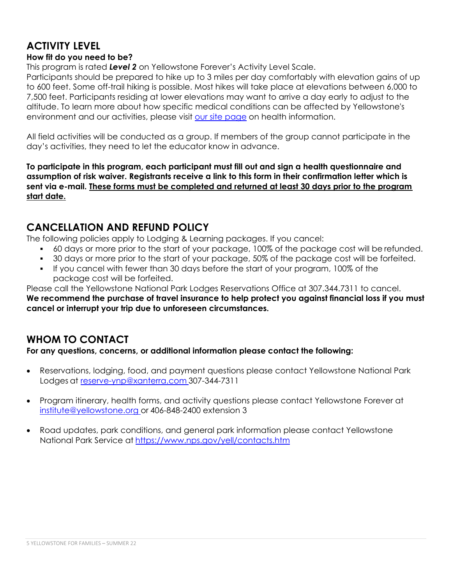# **ACTIVITY LEVEL**

### **How fit do you need to be?**

This program is rated *Level 2* on Yellowstone Forever's Activity Level Scale.

Participants should be prepared to hike up to 3 miles per day comfortably with elevation gains of up to 600 feet. Some off-trail hiking is possible. Most hikes will take place at elevations between 6,000 to 7,500 feet. Participants residing at lower elevations may want to arrive a day early to adjust to the altitude. To learn more about how specific medical conditions can be affected by Yellowstone's environment and our activities, please visit our site page on health information.

All field activities will be conducted as a group. If members of the group cannot participate in the day's activities, they need to let the educator know in advance.

**To participate in this program, each participant must fill out and sign a health questionnaire and assumption of risk waiver. Registrants receive a link to this form in their confirmation letter which is sent via e-mail. These forms must be completed and returned at least 30 days prior to the program start date.** 

### **CANCELLATION AND REFUND POLICY**

The following policies apply to Lodging & Learning packages. If you cancel:

- 60 days or more prior to the start of your package, 100% of the package cost will be refunded.
- 30 days or more prior to the start of your package, 50% of the package cost will be forfeited.
- If you cancel with fewer than 30 days before the start of your program, 100% of the package cost will be forfeited.

Please call the Yellowstone National Park Lodges Reservations Office at 307.344.7311 to cancel. **We recommend the purchase of travel insurance to help protect you against financial loss if you must cancel or interrupt your trip due to unforeseen circumstances.** 

### **WHOM TO CONTACT**

**For any questions, concerns, or additional information please contact the following:** 

- Reservations, lodging, food, and payment questions please contact Yellowstone National Park Lodges at reserve-ynp@xanterra.com 307-344-7311
- Program itinerary, health forms, and activity questions please contact Yellowstone Forever at institute@yellowstone.org or 406-848-2400 extension 3
- Road updates, park conditions, and general park information please contact Yellowstone National Park Service at https://www.nps.gov/yell/contacts.htm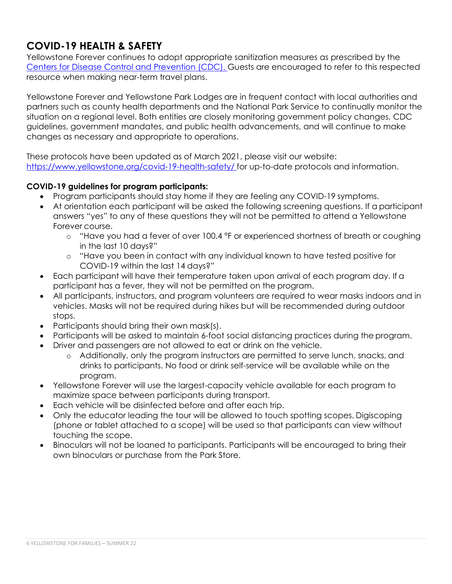## **COVID-19 HEALTH & SAFETY**

Yellowstone Forever continues to adopt appropriate sanitization measures as prescribed by the Centers for Disease Control and Prevention (CDC). Guests are encouraged to refer to this respected resource when making near-term travel plans.

Yellowstone Forever and Yellowstone Park Lodges are in frequent contact with local authorities and partners such as county health departments and the National Park Service to continually monitor the situation on a regional level. Both entities are closely monitoring government policy changes, CDC guidelines, government mandates, and public health advancements, and will continue to make changes as necessary and appropriate to operations.

These protocols have been updated as of March 2021, please visit our website: https://www.yellowstone.org/covid-19-health-safety/ for up-to-date protocols and information.

### **COVID-19 guidelines for program participants:**

- Program participants should stay home if they are feeling any COVID-19 symptoms.
- At orientation each participant will be asked the following screening questions. If a participant answers "yes" to any of these questions they will not be permitted to attend a Yellowstone Forever course.
	- $\circ$  "Have you had a fever of over 100.4  $\degree$ F or experienced shortness of breath or coughing in the last 10 days?"
	- o "Have you been in contact with any individual known to have tested positive for COVID-19 within the last 14 days?"
- Each participant will have their temperature taken upon arrival of each program day. If a participant has a fever, they will not be permitted on the program.
- All participants, instructors, and program volunteers are required to wear masks indoors and in vehicles. Masks will not be required during hikes but will be recommended during outdoor stops.
- Participants should bring their own mask(s).
- Participants will be asked to maintain 6-foot social distancing practices during the program.
- Driver and passengers are not allowed to eat or drink on the vehicle.
	- o Additionally, only the program instructors are permitted to serve lunch, snacks, and drinks to participants. No food or drink self-service will be available while on the program.
- Yellowstone Forever will use the largest-capacity vehicle available for each program to maximize space between participants during transport.
- Each vehicle will be disinfected before and after each trip.
- Only the educator leading the tour will be allowed to touch spotting scopes. Digiscoping (phone or tablet attached to a scope) will be used so that participants can view without touching the scope.
- Binoculars will not be loaned to participants. Participants will be encouraged to bring their own binoculars or purchase from the Park Store.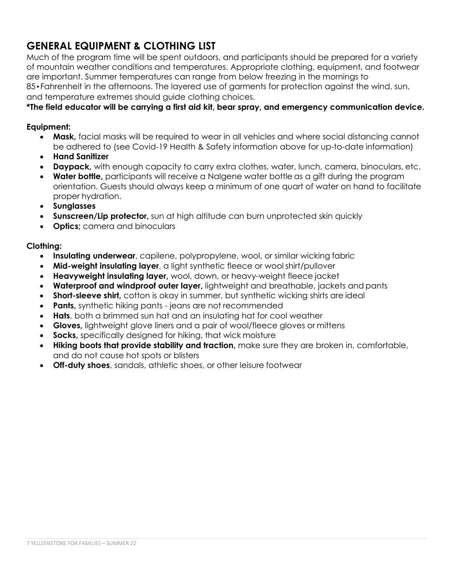## **GENERAL EQUIPMENT & CLOTHING LIST**

Much of the program time will be spent outdoors, and participants should be prepared for a variety of mountain weather conditions and temperatures. Appropriate clothing, equipment, and footwear are important. Summer temperatures can range from below freezing in the mornings to 85•Fahrenheit in the afternoons. The layered use of garments for protection against the wind, sun, and temperature extremes should guide clothing choices.

### **\*The field educator will be carrying a first aid kit, bear spray, and emergency communication device.**

#### **Equipment:**

- **Mask,** facial masks will be required to wear in all vehicles and where social distancing cannot be adhered to (see Covid-19 Health & Safety information above for up-to-date information)
- **Hand Sanitizer**
- **Daypack,** with enough capacity to carry extra clothes, water, lunch, camera, binoculars, etc.
- **Water bottle,** participants will receive a Nalgene water bottle as a gift during the program orientation. Guests should always keep a minimum of one quart of water on hand to facilitate proper hydration.
- **Sunglasses**
- **Sunscreen/Lip protector,** sun at high altitude can burn unprotected skin quickly
- **Optics**; camera and binoculars

#### **Clothing:**

- **Insulating underwear**, capilene, polypropylene, wool, or similar wicking fabric
- **Mid-weight insulating layer**, a light synthetic fleece or wool shirt/pullover
- **Heavyweight insulating layer,** wool, down, or heavy-weight fleece jacket
- **Waterproof and windproof outer layer,** lightweight and breathable, jackets and pants
- **Short-sleeve shirt,** cotton is okay in summer, but synthetic wicking shirts are ideal
- **Pants, synthetic hiking pants jeans are not recommended**
- **Hats**, both a brimmed sun hat and an insulating hat for cool weather
- **Gloves,** lightweight glove liners and a pair of wool/fleece gloves or mittens
- **Socks,** specifically designed for hiking, that wick moisture
- **Hiking boots that provide stability and traction,** make sure they are broken in, comfortable, and do not cause hot spots or blisters
- **Off-duty shoes**, sandals, athletic shoes, or other leisure footwear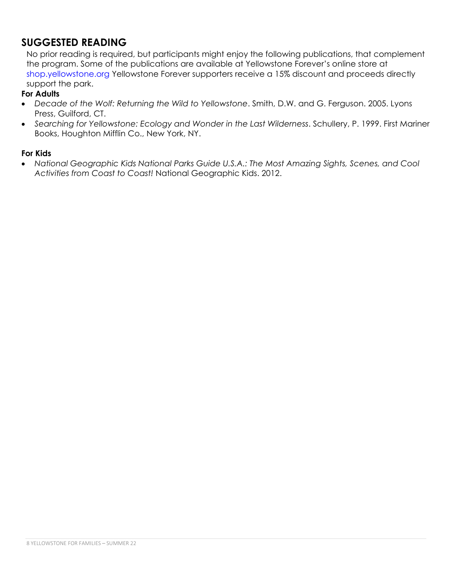### **SUGGESTED READING**

No prior reading is required, but participants might enjoy the following publications, that complement the program. Some of the publications are available at Yellowstone Forever's online store at shop.yellowstone.org Yellowstone Forever supporters receive a 15% discount and proceeds directly support the park.

### **For Adults**

- *Decade of the Wolf: Returning the Wild to Yellowstone*. Smith, D.W. and G. Ferguson. 2005. Lyons Press, Guilford, CT.
- *Searching for Yellowstone: Ecology and Wonder in the Last Wilderness*. Schullery, P. 1999. First Mariner Books, Houghton Mifflin Co., New York, NY.

#### **For Kids**

 *National Geographic Kids National Parks Guide U.S.A.: The Most Amazing Sights, Scenes, and Cool Activities from Coast to Coast!* National Geographic Kids. 2012.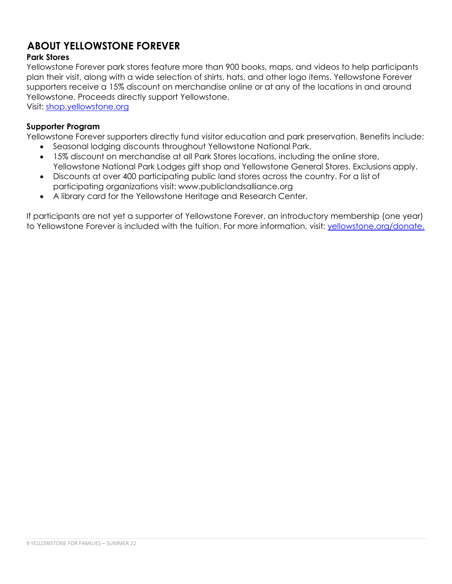## **ABOUT YELLOWSTONE FOREVER**

### **Park Stores**

Yellowstone Forever park stores feature more than 900 books, maps, and videos to help participants plan their visit, along with a wide selection of shirts, hats, and other logo items. Yellowstone Forever supporters receive a 15% discount on merchandise online or at any of the locations in and around Yellowstone. Proceeds directly support Yellowstone.

Visit: shop.yellowstone.org

### **Supporter Program**

Yellowstone Forever supporters directly fund visitor education and park preservation. Benefits include:

- Seasonal lodging discounts throughout Yellowstone National Park.
- 15% discount on merchandise at all Park Stores locations, including the online store, Yellowstone National Park Lodges gift shop and Yellowstone General Stores. Exclusions apply.
- Discounts at over 400 participating public land stores across the country. For a list of participating organizations visit: www.publiclandsalliance.org
- A library card for the Yellowstone Heritage and Research Center.

If participants are not yet a supporter of Yellowstone Forever, an introductory membership (one year) to Yellowstone Forever is included with the tuition. For more information, visit: yellowstone.org/donate.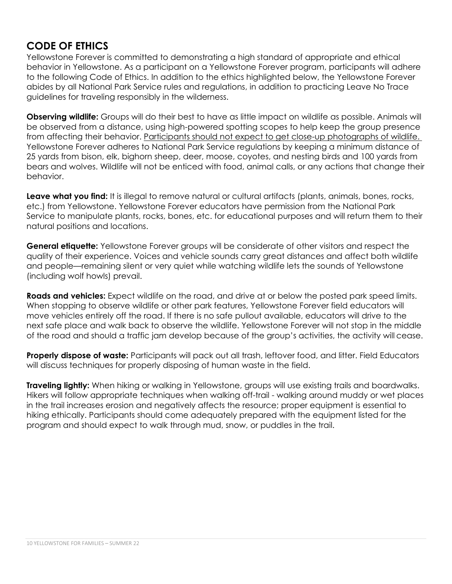### **CODE OF ETHICS**

Yellowstone Forever is committed to demonstrating a high standard of appropriate and ethical behavior in Yellowstone. As a participant on a Yellowstone Forever program, participants will adhere to the following Code of Ethics. In addition to the ethics highlighted below, the Yellowstone Forever abides by all National Park Service rules and regulations, in addition to practicing Leave No Trace guidelines for traveling responsibly in the wilderness.

**Observing wildlife:** Groups will do their best to have as little impact on wildlife as possible. Animals will be observed from a distance, using high-powered spotting scopes to help keep the group presence from affecting their behavior. Participants should not expect to get close-up photographs of wildlife. Yellowstone Forever adheres to National Park Service regulations by keeping a minimum distance of 25 yards from bison, elk, bighorn sheep, deer, moose, coyotes, and nesting birds and 100 yards from bears and wolves. Wildlife will not be enticed with food, animal calls, or any actions that change their behavior.

**Leave what you find:** It is illegal to remove natural or cultural artifacts (plants, animals, bones, rocks, etc.) from Yellowstone. Yellowstone Forever educators have permission from the National Park Service to manipulate plants, rocks, bones, etc. for educational purposes and will return them to their natural positions and locations.

**General etiquette:** Yellowstone Forever groups will be considerate of other visitors and respect the quality of their experience. Voices and vehicle sounds carry great distances and affect both wildlife and people—remaining silent or very quiet while watching wildlife lets the sounds of Yellowstone (including wolf howls) prevail.

**Roads and vehicles:** Expect wildlife on the road, and drive at or below the posted park speed limits. When stopping to observe wildlife or other park features, Yellowstone Forever field educators will move vehicles entirely off the road. If there is no safe pullout available, educators will drive to the next safe place and walk back to observe the wildlife. Yellowstone Forever will not stop in the middle of the road and should a traffic jam develop because of the group's activities, the activity will cease.

**Properly dispose of waste:** Participants will pack out all trash, leftover food, and litter. Field Educators will discuss techniques for properly disposing of human waste in the field.

**Traveling lightly:** When hiking or walking in Yellowstone, groups will use existing trails and boardwalks. Hikers will follow appropriate techniques when walking off-trail - walking around muddy or wet places in the trail increases erosion and negatively affects the resource; proper equipment is essential to hiking ethically. Participants should come adequately prepared with the equipment listed for the program and should expect to walk through mud, snow, or puddles in the trail.